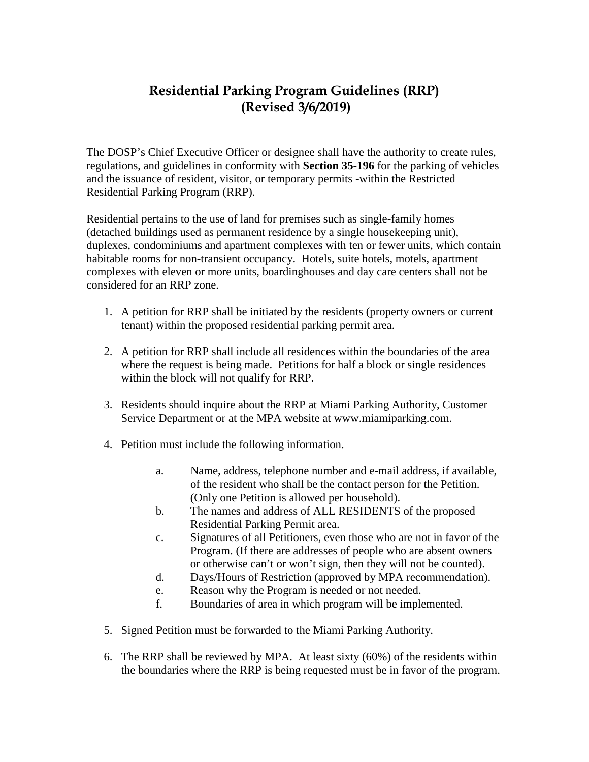## **Residential Parking Program Guidelines (RRP) (Revised 3/6/2019)**

The DOSP's Chief Executive Officer or designee shall have the authority to create rules, regulations, and guidelines in conformity with **Section 35-196** for the parking of vehicles and the issuance of resident, visitor, or temporary permits -within the Restricted Residential Parking Program (RRP).

Residential pertains to the use of land for premises such as single-family homes (detached buildings used as permanent residence by a single housekeeping unit), duplexes, condominiums and apartment complexes with ten or fewer units, which contain habitable rooms for non-transient occupancy. Hotels, suite hotels, motels, apartment complexes with eleven or more units, boardinghouses and day care centers shall not be considered for an RRP zone.

- 1. A petition for RRP shall be initiated by the residents (property owners or current tenant) within the proposed residential parking permit area.
- 2. A petition for RRP shall include all residences within the boundaries of the area where the request is being made. Petitions for half a block or single residences within the block will not qualify for RRP.
- 3. Residents should inquire about the RRP at Miami Parking Authority, Customer Service Department or at the MPA website at www.miamiparking.com.
- 4. Petition must include the following information.
	- a. Name, address, telephone number and e-mail address, if available, of the resident who shall be the contact person for the Petition. (Only one Petition is allowed per household).
	- b. The names and address of ALL RESIDENTS of the proposed Residential Parking Permit area.
	- c. Signatures of all Petitioners, even those who are not in favor of the Program. (If there are addresses of people who are absent owners or otherwise can't or won't sign, then they will not be counted).
	- d. Days/Hours of Restriction (approved by MPA recommendation).
	- e. Reason why the Program is needed or not needed.
	- f. Boundaries of area in which program will be implemented.
- 5. Signed Petition must be forwarded to the Miami Parking Authority.
- 6. The RRP shall be reviewed by MPA. At least sixty (60%) of the residents within the boundaries where the RRP is being requested must be in favor of the program.